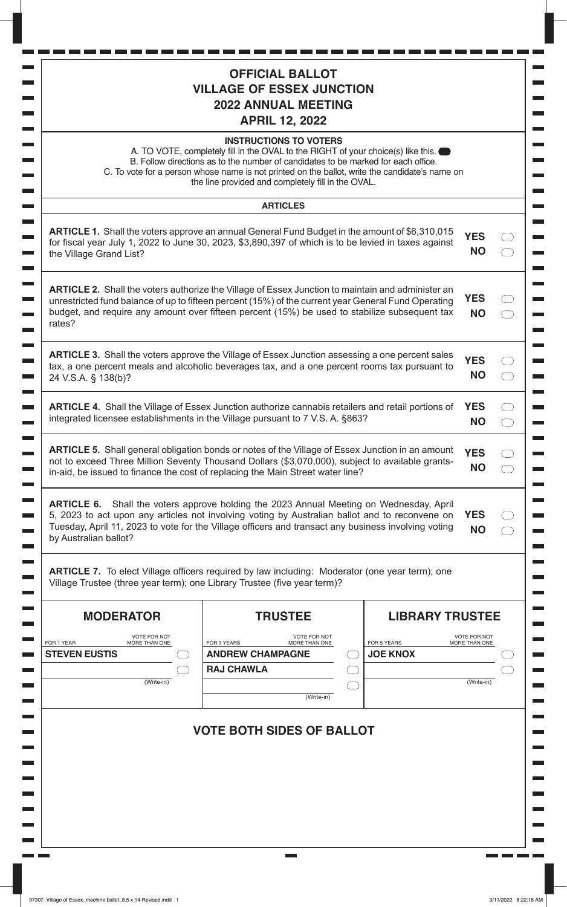|                                                    | <b>OFFICIAL BALLOT</b><br><b>VILLAGE OF ESSEX JUNCTION</b><br><b>2022 ANNUAL MEETING</b><br><b>APRIL 12, 2022</b>                                                                                                                                                                                                                                                         |                 |                        |                                      |  |
|----------------------------------------------------|---------------------------------------------------------------------------------------------------------------------------------------------------------------------------------------------------------------------------------------------------------------------------------------------------------------------------------------------------------------------------|-----------------|------------------------|--------------------------------------|--|
|                                                    | <b>INSTRUCTIONS TO VOTERS</b><br>A. TO VOTE, completely fill in the OVAL to the RIGHT of your choice(s) like this. $\bullet$<br>B. Follow directions as to the number of candidates to be marked for each office.<br>C. To vote for a person whose name is not printed on the ballot, write the candidate's name on<br>the line provided and completely fill in the OVAL. |                 |                        |                                      |  |
|                                                    | <b>ARTICLES</b>                                                                                                                                                                                                                                                                                                                                                           |                 |                        |                                      |  |
| the Village Grand List?                            | <b>ARTICLE 1.</b> Shall the voters approve an annual General Fund Budget in the amount of \$6,310,015<br>for fiscal year July 1, 2022 to June 30, 2023, \$3,890,397 of which is to be levied in taxes against                                                                                                                                                             |                 |                        | <b>YES</b><br><b>NO</b>              |  |
| rates?                                             | <b>ARTICLE 2.</b> Shall the voters authorize the Village of Essex Junction to maintain and administer an<br>unrestricted fund balance of up to fifteen percent (15%) of the current year General Fund Operating<br>budget, and require any amount over fifteen percent (15%) be used to stabilize subsequent tax                                                          |                 |                        | <b>YES</b><br><b>NO</b>              |  |
| 24 V.S.A. § 138(b)?                                | <b>ARTICLE 3.</b> Shall the voters approve the Village of Essex Junction assessing a one percent sales<br>tax, a one percent meals and alcoholic beverages tax, and a one percent rooms tax pursuant to                                                                                                                                                                   |                 |                        | <b>YES</b><br><b>NO</b>              |  |
|                                                    | <b>ARTICLE 4.</b> Shall the Village of Essex Junction authorize cannabis retailers and retail portions of<br>integrated licensee establishments in the Village pursuant to 7 V.S. A. §863?                                                                                                                                                                                |                 |                        | <b>YES</b><br><b>NO</b>              |  |
|                                                    | <b>ARTICLE 5.</b> Shall general obligation bonds or notes of the Village of Essex Junction in an amount<br>not to exceed Three Million Seventy Thousand Dollars (\$3,070,000), subject to available grants-<br>in-aid, be issued to finance the cost of replacing the Main Street water line?                                                                             |                 |                        | <b>YES</b><br><b>NO</b>              |  |
| by Australian ballot?                              | ARTICLE 6. Shall the voters approve holding the 2023 Annual Meeting on Wednesday, April<br>5, 2023 to act upon any articles not involving voting by Australian ballot and to reconvene on<br>Tuesday, April 11, 2023 to vote for the Village officers and transact any business involving voting                                                                          |                 |                        | <b>YES</b><br><b>NO</b>              |  |
|                                                    | <b>ARTICLE 7.</b> To elect Village officers required by law including: Moderator (one year term); one<br>Village Trustee (three year term); one Library Trustee (five year term)?                                                                                                                                                                                         |                 |                        |                                      |  |
| <b>MODERATOR</b>                                   | <b>TRUSTEE</b>                                                                                                                                                                                                                                                                                                                                                            |                 | <b>LIBRARY TRUSTEE</b> |                                      |  |
| <b>VOTE FOR NOT</b><br>FOR 1 YEAR<br>MORE THAN ONE | <b>VOTE FOR NOT</b><br>FOR 3 YEARS<br>MORE THAN ONE                                                                                                                                                                                                                                                                                                                       | FOR 5 YEARS     |                        | <b>VOTE FOR NOT</b><br>MORE THAN ONE |  |
| <b>STEVEN EUSTIS</b>                               | <b>ANDREW CHAMPAGNE</b>                                                                                                                                                                                                                                                                                                                                                   | <b>JOE KNOX</b> |                        |                                      |  |
| (Write-in)                                         | <b>RAJ CHAWLA</b>                                                                                                                                                                                                                                                                                                                                                         |                 |                        | (Write-in)                           |  |
|                                                    | (Write-in)                                                                                                                                                                                                                                                                                                                                                                |                 |                        |                                      |  |
|                                                    | <b>VOTE BOTH SIDES OF BALLOT</b>                                                                                                                                                                                                                                                                                                                                          |                 |                        |                                      |  |
|                                                    |                                                                                                                                                                                                                                                                                                                                                                           |                 |                        |                                      |  |